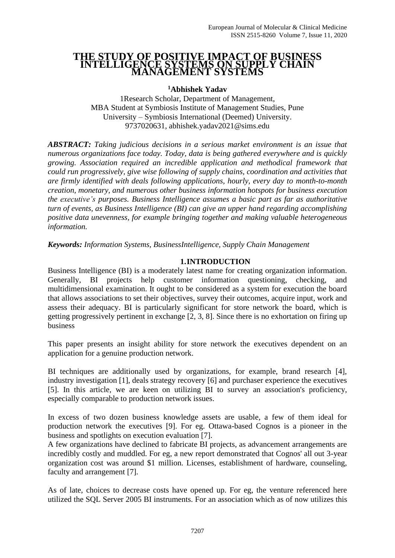#### **THE STUDY OF POSITIVE IMPACT OF BUSINESS INTELLIGENCE SYSTEMS ON SUPPLY CHAIN MANAGEMENT SYSTEMS**

**<sup>1</sup>Abhishek Yadav**

1Research Scholar, Department of Management, MBA Student at Symbiosis Institute of Management Studies, Pune University – Symbiosis International (Deemed) University. 9737020631, abhishek.yadav2021@sims.edu

*ABSTRACT: Taking judicious decisions in a serious market environment is an issue that numerous organizations face today. Today, data is being gathered everywhere and is quickly growing. Association required an incredible application and methodical framework that could run progressively, give wise following of supply chains, coordination and activities that are firmly identified with deals following applications, hourly, every day to month-to-month creation, monetary, and numerous other business information hotspots for business execution the executive's purposes. Business Intelligence assumes a basic part as far as authoritative turn of events, as Business Intelligence (BI) can give an upper hand regarding accomplishing positive data unevenness, for example bringing together and making valuable heterogeneous information.*

*Keywords: Information Systems, BusinessIntelligence, Supply Chain Management*

## **1.INTRODUCTION**

Business Intelligence (BI) is a moderately latest name for creating organization information. Generally, BI projects help customer information questioning, checking, and multidimensional examination. It ought to be considered as a system for execution the board that allows associations to set their objectives, survey their outcomes, acquire input, work and assess their adequacy. BI is particularly significant for store network the board, which is getting progressively pertinent in exchange [2, 3, 8]. Since there is no exhortation on firing up business

This paper presents an insight ability for store network the executives dependent on an application for a genuine production network.

BI techniques are additionally used by organizations, for example, brand research [4], industry investigation [1], deals strategy recovery [6] and purchaser experience the executives [5]. In this article, we are keen on utilizing BI to survey an association's proficiency, especially comparable to production network issues.

In excess of two dozen business knowledge assets are usable, a few of them ideal for production network the executives [9]. For eg. Ottawa-based Cognos is a pioneer in the business and spotlights on execution evaluation [7].

A few organizations have declined to fabricate BI projects, as advancement arrangements are incredibly costly and muddled. For eg, a new report demonstrated that Cognos' all out 3-year organization cost was around \$1 million. Licenses, establishment of hardware, counseling, faculty and arrangement [7].

As of late, choices to decrease costs have opened up. For eg, the venture referenced here utilized the SQL Server 2005 BI instruments. For an association which as of now utilizes this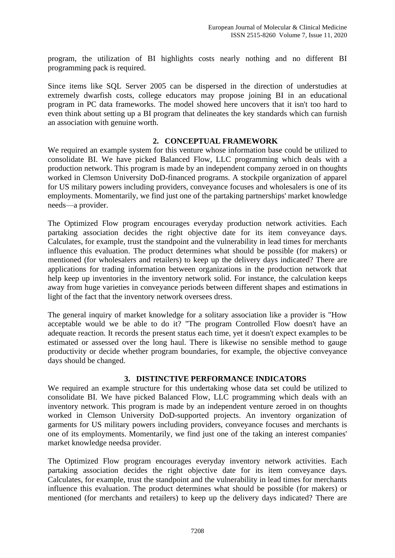program, the utilization of BI highlights costs nearly nothing and no different BI programming pack is required.

Since items like SQL Server 2005 can be dispersed in the direction of understudies at extremely dwarfish costs, college educators may propose joining BI in an educational program in PC data frameworks. The model showed here uncovers that it isn't too hard to even think about setting up a BI program that delineates the key standards which can furnish an association with genuine worth.

## **2. CONCEPTUAL FRAMEWORK**

We required an example system for this venture whose information base could be utilized to consolidate BI. We have picked Balanced Flow, LLC programming which deals with a production network. This program is made by an independent company zeroed in on thoughts worked in Clemson University DoD-financed programs. A stockpile organization of apparel for US military powers including providers, conveyance focuses and wholesalers is one of its employments. Momentarily, we find just one of the partaking partnerships' market knowledge needs—a provider.

The Optimized Flow program encourages everyday production network activities. Each partaking association decides the right objective date for its item conveyance days. Calculates, for example, trust the standpoint and the vulnerability in lead times for merchants influence this evaluation. The product determines what should be possible (for makers) or mentioned (for wholesalers and retailers) to keep up the delivery days indicated? There are applications for trading information between organizations in the production network that help keep up inventories in the inventory network solid. For instance, the calculation keeps away from huge varieties in conveyance periods between different shapes and estimations in light of the fact that the inventory network oversees dress.

The general inquiry of market knowledge for a solitary association like a provider is "How acceptable would we be able to do it? "The program Controlled Flow doesn't have an adequate reaction. It records the present status each time, yet it doesn't expect examples to be estimated or assessed over the long haul. There is likewise no sensible method to gauge productivity or decide whether program boundaries, for example, the objective conveyance days should be changed.

#### **3. DISTINCTIVE PERFORMANCE INDICATORS**

We required an example structure for this undertaking whose data set could be utilized to consolidate BI. We have picked Balanced Flow, LLC programming which deals with an inventory network. This program is made by an independent venture zeroed in on thoughts worked in Clemson University DoD-supported projects. An inventory organization of garments for US military powers including providers, conveyance focuses and merchants is one of its employments. Momentarily, we find just one of the taking an interest companies' market knowledge needsa provider.

The Optimized Flow program encourages everyday inventory network activities. Each partaking association decides the right objective date for its item conveyance days. Calculates, for example, trust the standpoint and the vulnerability in lead times for merchants influence this evaluation. The product determines what should be possible (for makers) or mentioned (for merchants and retailers) to keep up the delivery days indicated? There are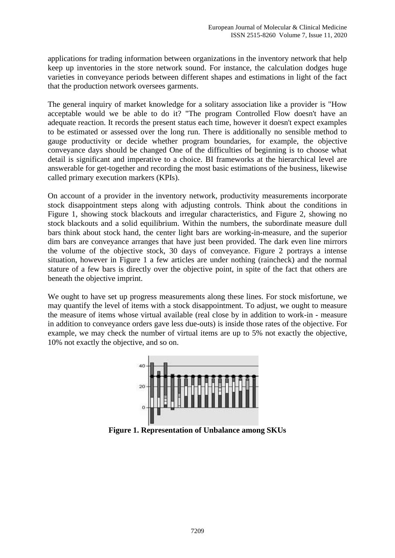applications for trading information between organizations in the inventory network that help keep up inventories in the store network sound. For instance, the calculation dodges huge varieties in conveyance periods between different shapes and estimations in light of the fact that the production network oversees garments.

The general inquiry of market knowledge for a solitary association like a provider is "How acceptable would we be able to do it? "The program Controlled Flow doesn't have an adequate reaction. It records the present status each time, however it doesn't expect examples to be estimated or assessed over the long run. There is additionally no sensible method to gauge productivity or decide whether program boundaries, for example, the objective conveyance days should be changed One of the difficulties of beginning is to choose what detail is significant and imperative to a choice. BI frameworks at the hierarchical level are answerable for get-together and recording the most basic estimations of the business, likewise called primary execution markers (KPIs).

On account of a provider in the inventory network, productivity measurements incorporate stock disappointment steps along with adjusting controls. Think about the conditions in Figure 1, showing stock blackouts and irregular characteristics, and Figure 2, showing no stock blackouts and a solid equilibrium. Within the numbers, the subordinate measure dull bars think about stock hand, the center light bars are working-in-measure, and the superior dim bars are conveyance arranges that have just been provided. The dark even line mirrors the volume of the objective stock, 30 days of conveyance. Figure 2 portrays a intense situation, however in Figure 1 a few articles are under nothing (raincheck) and the normal stature of a few bars is directly over the objective point, in spite of the fact that others are beneath the objective imprint.

We ought to have set up progress measurements along these lines. For stock misfortune, we may quantify the level of items with a stock disappointment. To adjust, we ought to measure the measure of items whose virtual available (real close by in addition to work-in - measure in addition to conveyance orders gave less due-outs) is inside those rates of the objective. For example, we may check the number of virtual items are up to 5% not exactly the objective, 10% not exactly the objective, and so on.



**Figure 1. Representation of Unbalance among SKUs**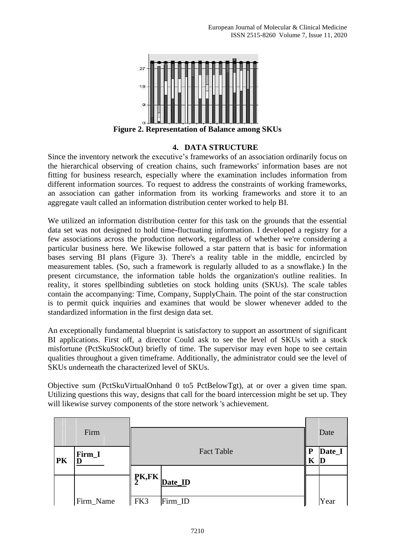

## **4. DATA STRUCTURE**

Since the inventory network the executive's frameworks of an association ordinarily focus on the hierarchical observing of creation chains, such frameworks' information bases are not fitting for business research, especially where the examination includes information from different information sources. To request to address the constraints of working frameworks, an association can gather information from its working frameworks and store it to an aggregate vault called an information distribution center worked to help BI.

We utilized an information distribution center for this task on the grounds that the essential data set was not designed to hold time-fluctuating information. I developed a registry for a few associations across the production network, regardless of whether we're considering a particular business here. We likewise followed a star pattern that is basic for information bases serving BI plans (Figure 3). There's a reality table in the middle, encircled by measurement tables. (So, such a framework is regularly alluded to as a snowflake.) In the present circumstance, the information table holds the organization's outline realities. In reality, it stores spellbinding subtleties on stock holding units (SKUs). The scale tables contain the accompanying: Time, Company, SupplyChain. The point of the star construction is to permit quick inquiries and examines that would be slower whenever added to the standardized information in the first design data set.

An exceptionally fundamental blueprint is satisfactory to support an assortment of significant BI applications. First off, a director Could ask to see the level of SKUs with a stock misfortune (PctSkuStockOut) briefly of time. The supervisor may even hope to see certain qualities throughout a given timeframe. Additionally, the administrator could see the level of SKUs underneath the characterized level of SKUs.

Objective sum (PctSkuVirtualOnhand 0 to5 PctBelowTgt), at or over a given time span. Utilizing questions this way, designs that call for the board intercession might be set up. They will likewise survey components of the store network 's achievement.

|    | Firm      |                   |        | Date               |
|----|-----------|-------------------|--------|--------------------|
| PK | Firm_I    | <b>Fact Table</b> | P<br>K | Date_I<br>$\bf{D}$ |
|    |           | PK,FK             |        |                    |
|    |           | Date_ID           |        |                    |
|    | Firm_Name | FK3<br>Firm_ID    |        | Year               |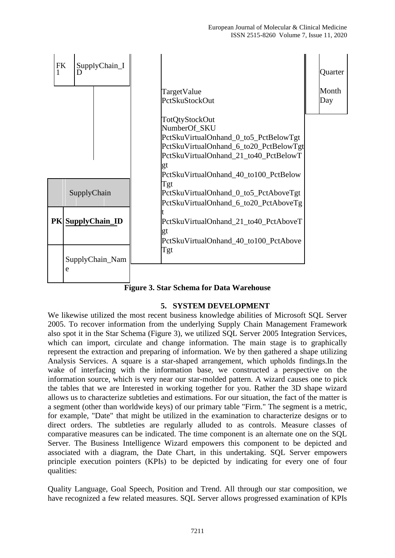

**Figure 3. Star Schema for Data Warehouse**

# **5. SYSTEM DEVELOPMENT**

We likewise utilized the most recent business knowledge abilities of Microsoft SQL Server 2005. To recover information from the underlying Supply Chain Management Framework also spot it in the Star Schema (Figure 3), we utilized SQL Server 2005 Integration Services, which can import, circulate and change information. The main stage is to graphically represent the extraction and preparing of information. We by then gathered a shape utilizing Analysis Services. A square is a star-shaped arrangement, which upholds findings.In the wake of interfacing with the information base, we constructed a perspective on the information source, which is very near our star-molded pattern. A wizard causes one to pick the tables that we are Interested in working together for you. Rather the 3D shape wizard allows us to characterize subtleties and estimations. For our situation, the fact of the matter is a segment (other than worldwide keys) of our primary table "Firm." The segment is a metric, for example, "Date" that might be utilized in the examination to characterize designs or to direct orders. The subtleties are regularly alluded to as controls. Measure classes of comparative measures can be indicated. The time component is an alternate one on the SQL Server. The Business Intelligence Wizard empowers this component to be depicted and associated with a diagram, the Date Chart, in this undertaking. SQL Server empowers principle execution pointers (KPIs) to be depicted by indicating for every one of four qualities:

Quality Language, Goal Speech, Position and Trend. All through our star composition, we have recognized a few related measures. SQL Server allows progressed examination of KPIs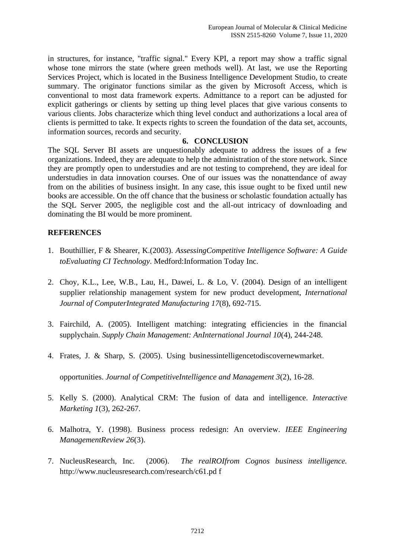in structures, for instance, "traffic signal." Every KPI, a report may show a traffic signal whose tone mirrors the state (where green methods well). At last, we use the Reporting Services Project, which is located in the Business Intelligence Development Studio, to create summary. The originator functions similar as the given by Microsoft Access, which is conventional to most data framework experts. Admittance to a report can be adjusted for explicit gatherings or clients by setting up thing level places that give various consents to various clients. Jobs characterize which thing level conduct and authorizations a local area of clients is permitted to take. It expects rights to screen the foundation of the data set, accounts, information sources, records and security.

#### **6. CONCLUSION**

The SQL Server BI assets are unquestionably adequate to address the issues of a few organizations. Indeed, they are adequate to help the administration of the store network. Since they are promptly open to understudies and are not testing to comprehend, they are ideal for understudies in data innovation courses. One of our issues was the nonattendance of away from on the abilities of business insight. In any case, this issue ought to be fixed until new books are accessible. On the off chance that the business or scholastic foundation actually has the SQL Server 2005, the negligible cost and the all-out intricacy of downloading and dominating the BI would be more prominent.

## **REFERENCES**

- 1. Bouthillier, F & Shearer, K.(2003). *AssessingCompetitive Intelligence Software: A Guide toEvaluating CI Technology*. Medford:Information Today Inc.
- 2. Choy, K.L., Lee, W.B., Lau, H., Dawei, L. & Lo, V. (2004). Design of an intelligent supplier relationship management system for new product development, *International Journal of ComputerIntegrated Manufacturing 17*(8), 692-715.
- 3. Fairchild, A. (2005). Intelligent matching: integrating efficiencies in the financial supplychain. *Supply Chain Management: AnInternational Journal 10*(4), 244-248.
- 4. Frates, J. & Sharp, S. (2005). Using businessintelligencetodiscovernewmarket.

opportunities. *Journal of CompetitiveIntelligence and Management 3*(2), 16-28.

- 5. Kelly S. (2000). Analytical CRM: The fusion of data and intelligence. *Interactive Marketing 1*(3), 262-267.
- 6. Malhotra, Y. (1998). Business process redesign: An overview. *IEEE Engineering ManagementReview 26*(3).
- 7. NucleusResearch, Inc. (2006). *The realROIfrom Cognos business intelligence.*  http://www.nucleusresearch.com/research/c61.pd f